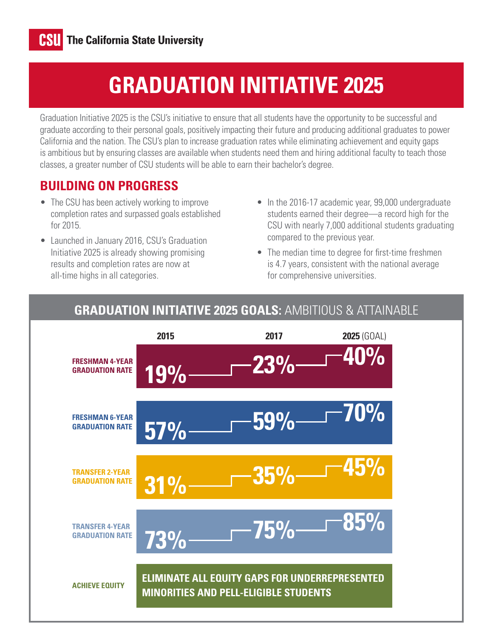# **GRADUATION INITIATIVE 2025**

Graduation Initiative 2025 is the CSU's initiative to ensure that all students have the opportunity to be successful and graduate according to their personal goals, positively impacting their future and producing additional graduates to power California and the nation. The CSU's plan to increase graduation rates while eliminating achievement and equity gaps is ambitious but by ensuring classes are available when students need them and hiring additional faculty to teach those classes, a greater number of CSU students will be able to earn their bachelor's degree.

### **BUILDING ON PROGRESS**

- The CSU has been actively working to improve completion rates and surpassed goals established for 2015.
- Launched in January 2016, CSU's Graduation Initiative 2025 is already showing promising results and completion rates are now at all-time highs in all categories.
- In the 2016-17 academic year, 99,000 undergraduate students earned their degree—a record high for the CSU with nearly 7,000 additional students graduating compared to the previous year.
- The median time to degree for first-time freshmen is 4.7 years, consistent with the national average for comprehensive universities.



#### **GRADUATION INITIATIVE 2025 GOALS:** AMBITIOUS & ATTAINABLE